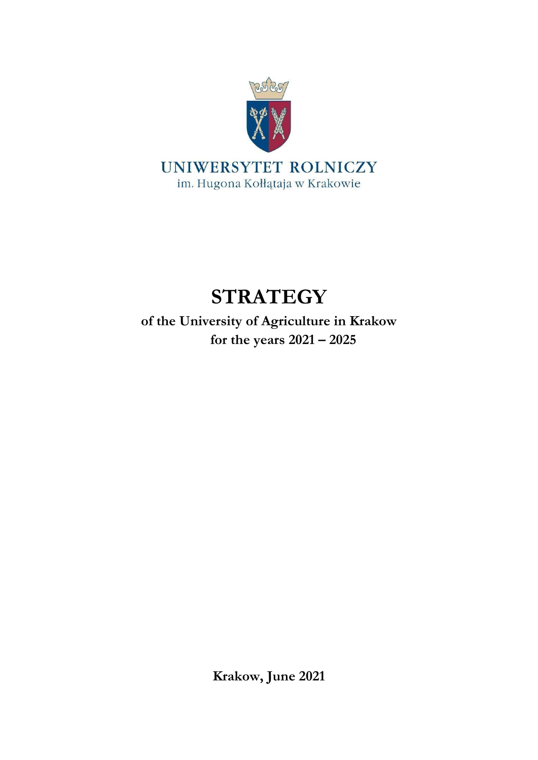

# **STRATEGY**

**of the University of Agriculture in Krakow for the years 2021 – 2025**

**Krakow, June 2021**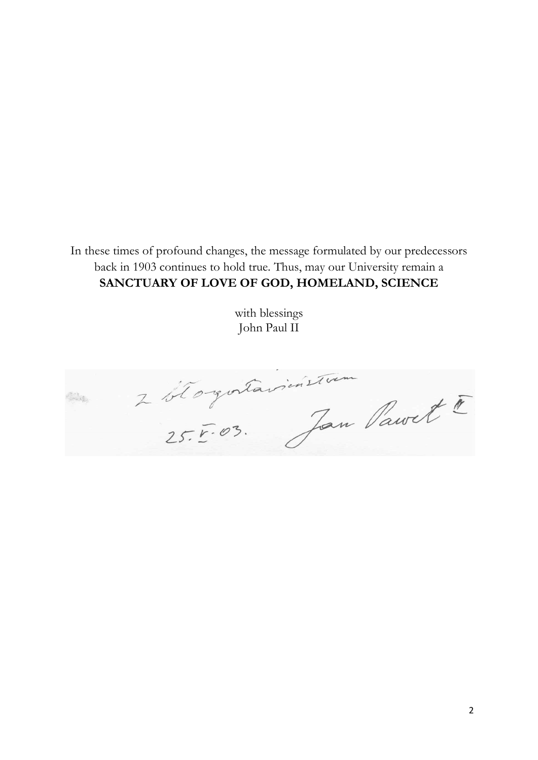In these times of profound changes, the message formulated by our predecessors back in 1903 continues to hold true. Thus, may our University remain a **SANCTUARY OF LOVE OF GOD, HOMELAND, SCIENCE**

> with blessings John Paul II

2 blogotavicísticam **COLLEGE**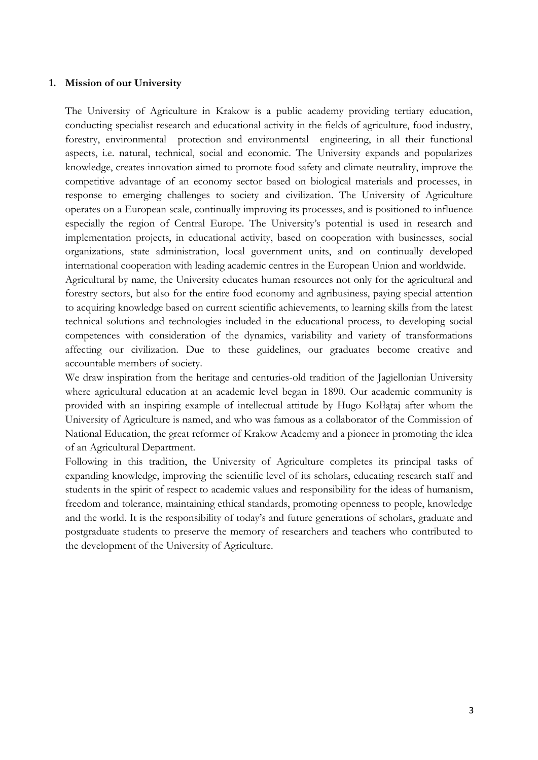#### **1. Mission of our University**

The University of Agriculture in Krakow is a public academy providing tertiary education, conducting specialist research and educational activity in the fields of agriculture, food industry, forestry, environmental protection and environmental engineering, in all their functional aspects, i.e. natural, technical, social and economic. The University expands and popularizes knowledge, creates innovation aimed to promote food safety and climate neutrality, improve the competitive advantage of an economy sector based on biological materials and processes, in response to emerging challenges to society and civilization. The University of Agriculture operates on a European scale, continually improving its processes, and is positioned to influence especially the region of Central Europe. The University's potential is used in research and implementation projects, in educational activity, based on cooperation with businesses, social organizations, state administration, local government units, and on continually developed international cooperation with leading academic centres in the European Union and worldwide.

Agricultural by name, the University educates human resources not only for the agricultural and forestry sectors, but also for the entire food economy and agribusiness, paying special attention to acquiring knowledge based on current scientific achievements, to learning skills from the latest technical solutions and technologies included in the educational process, to developing social competences with consideration of the dynamics, variability and variety of transformations affecting our civilization. Due to these guidelines, our graduates become creative and accountable members of society.

We draw inspiration from the heritage and centuries-old tradition of the Jagiellonian University where agricultural education at an academic level began in 1890. Our academic community is provided with an inspiring example of intellectual attitude by Hugo Kołłątaj after whom the University of Agriculture is named, and who was famous as a collaborator of the Commission of National Education, the great reformer of Krakow Academy and a pioneer in promoting the idea of an Agricultural Department.

Following in this tradition, the University of Agriculture completes its principal tasks of expanding knowledge, improving the scientific level of its scholars, educating research staff and students in the spirit of respect to academic values and responsibility for the ideas of humanism, freedom and tolerance, maintaining ethical standards, promoting openness to people, knowledge and the world. It is the responsibility of today's and future generations of scholars, graduate and postgraduate students to preserve the memory of researchers and teachers who contributed to the development of the University of Agriculture.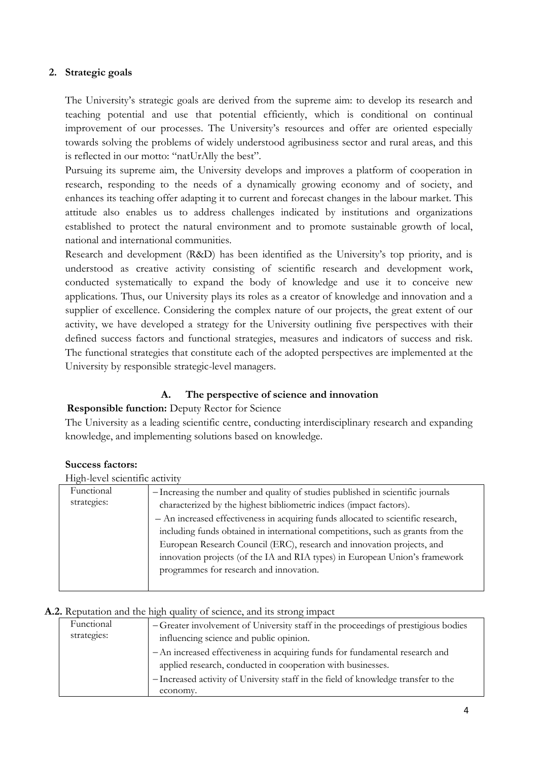### **2. Strategic goals**

The University's strategic goals are derived from the supreme aim: to develop its research and teaching potential and use that potential efficiently, which is conditional on continual improvement of our processes. The University's resources and offer are oriented especially towards solving the problems of widely understood agribusiness sector and rural areas, and this is reflected in our motto: "natUrAlly the best".

Pursuing its supreme aim, the University develops and improves a platform of cooperation in research, responding to the needs of a dynamically growing economy and of society, and enhances its teaching offer adapting it to current and forecast changes in the labour market. This attitude also enables us to address challenges indicated by institutions and organizations established to protect the natural environment and to promote sustainable growth of local, national and international communities.

Research and development (R&D) has been identified as the University's top priority, and is understood as creative activity consisting of scientific research and development work, conducted systematically to expand the body of knowledge and use it to conceive new applications. Thus, our University plays its roles as a creator of knowledge and innovation and a supplier of excellence. Considering the complex nature of our projects, the great extent of our activity, we have developed a strategy for the University outlining five perspectives with their defined success factors and functional strategies, measures and indicators of success and risk. The functional strategies that constitute each of the adopted perspectives are implemented at the University by responsible strategic-level managers.

## **A. The perspective of science and innovation**

## **Responsible function:** Deputy Rector for Science

The University as a leading scientific centre, conducting interdisciplinary research and expanding knowledge, and implementing solutions based on knowledge.

#### **Success factors:**

#### **A.1.** High-level scientific activity

| Functional<br>strategies: | - Increasing the number and quality of studies published in scientific journals<br>characterized by the highest bibliometric indices (impact factors).<br>- An increased effectiveness in acquiring funds allocated to scientific research,<br>including funds obtained in international competitions, such as grants from the<br>European Research Council (ERC), research and innovation projects, and<br>innovation projects (of the IA and RIA types) in European Union's framework<br>programmes for research and innovation. |
|---------------------------|------------------------------------------------------------------------------------------------------------------------------------------------------------------------------------------------------------------------------------------------------------------------------------------------------------------------------------------------------------------------------------------------------------------------------------------------------------------------------------------------------------------------------------|
|                           |                                                                                                                                                                                                                                                                                                                                                                                                                                                                                                                                    |
|                           |                                                                                                                                                                                                                                                                                                                                                                                                                                                                                                                                    |

#### **A.2.** Reputation and the high quality of science, and its strong impact

| Functional<br>strategies: | -Greater involvement of University staff in the proceedings of prestigious bodies<br>influencing science and public opinion.                |
|---------------------------|---------------------------------------------------------------------------------------------------------------------------------------------|
|                           | - An increased effectiveness in acquiring funds for fundamental research and<br>applied research, conducted in cooperation with businesses. |
|                           | - Increased activity of University staff in the field of knowledge transfer to the<br>economy.                                              |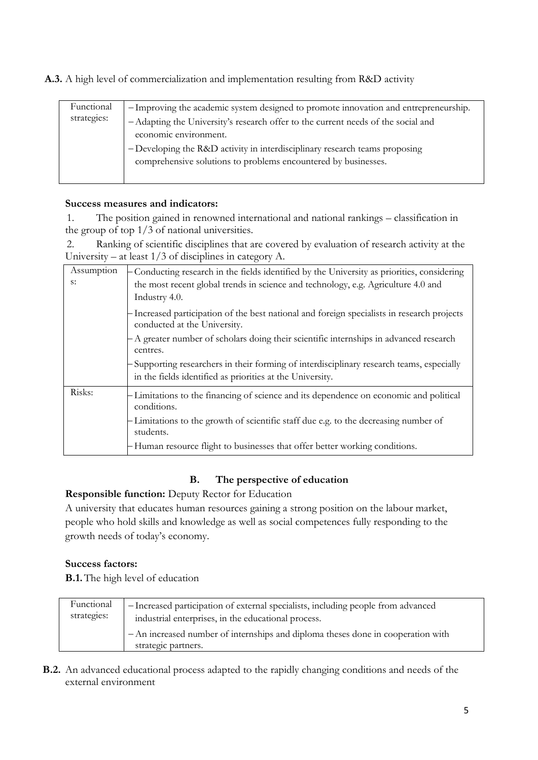**A.3.** A high level of commercialization and implementation resulting from R&D activity

| Functional<br>strategies: | -Improving the academic system designed to promote innovation and entrepreneurship. |
|---------------------------|-------------------------------------------------------------------------------------|
|                           | -Adapting the University's research offer to the current needs of the social and    |
|                           | economic environment.                                                               |
|                           | -Developing the R&D activity in interdisciplinary research teams proposing          |
|                           | comprehensive solutions to problems encountered by businesses.                      |
|                           |                                                                                     |

#### **Success measures and indicators:**

1. The position gained in renowned international and national rankings – classification in the group of top 1/3 of national universities.

2. Ranking of scientific disciplines that are covered by evaluation of research activity at the University – at least 1/3 of disciplines in category A.

| Assumption | - Conducting research in the fields identified by the University as priorities, considering                                                          |
|------------|------------------------------------------------------------------------------------------------------------------------------------------------------|
| s:         | the most recent global trends in science and technology, e.g. Agriculture 4.0 and                                                                    |
|            | Industry 4.0.                                                                                                                                        |
|            | Increased participation of the best national and foreign specialists in research projects<br>conducted at the University.                            |
|            | - A greater number of scholars doing their scientific internships in advanced research<br>centres.                                                   |
|            | Supporting researchers in their forming of interdisciplinary research teams, especially<br>in the fields identified as priorities at the University. |
| Risks:     | Limitations to the financing of science and its dependence on economic and political<br>conditions.                                                  |
|            | Limitations to the growth of scientific staff due e.g. to the decreasing number of<br>students.                                                      |
|            | -Human resource flight to businesses that offer better working conditions.                                                                           |

## **B. The perspective of education**

## **Responsible function:** Deputy Rector for Education

A university that educates human resources gaining a strong position on the labour market, people who hold skills and knowledge as well as social competences fully responding to the growth needs of today's economy.

#### **Success factors:**

**B.1.**The high level of education

| Functional  | - Increased participation of external specialists, including people from advanced                       |
|-------------|---------------------------------------------------------------------------------------------------------|
| strategies: | industrial enterprises, in the educational process.                                                     |
|             | - An increased number of internships and diploma theses done in cooperation with<br>strategic partners. |

**B.2.** An advanced educational process adapted to the rapidly changing conditions and needs of the external environment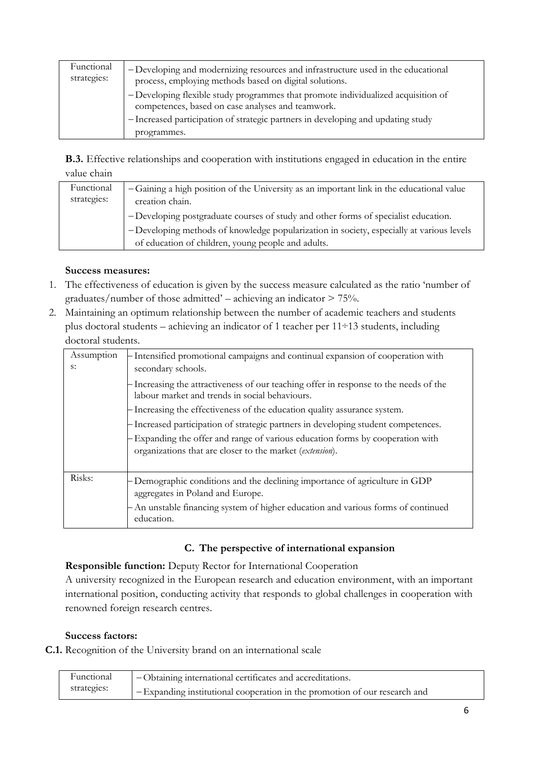| Functional<br>strategies: | -Developing and modernizing resources and infrastructure used in the educational<br>process, employing methods based on digital solutions.<br>- Developing flexible study programmes that promote individualized acquisition of<br>competences, based on case analyses and teamwork.<br>- Increased participation of strategic partners in developing and updating study |
|---------------------------|--------------------------------------------------------------------------------------------------------------------------------------------------------------------------------------------------------------------------------------------------------------------------------------------------------------------------------------------------------------------------|
|                           | programmes.                                                                                                                                                                                                                                                                                                                                                              |

**B.3.** Effective relationships and cooperation with institutions engaged in education in the entire value chain

| Functional<br>strategies: | -Gaining a high position of the University as an important link in the educational value<br>creation chain. |
|---------------------------|-------------------------------------------------------------------------------------------------------------|
|                           | -Developing postgraduate courses of study and other forms of specialist education.                          |
|                           | - Developing methods of knowledge popularization in society, especially at various levels                   |
|                           | of education of children, young people and adults.                                                          |

## **Success measures:**

- 1. The effectiveness of education is given by the success measure calculated as the ratio 'number of graduates/number of those admitted' – achieving an indicator > 75%.
- 2. Maintaining an optimum relationship between the number of academic teachers and students plus doctoral students – achieving an indicator of 1 teacher per 11÷13 students, including doctoral students.

| Assumption<br>s: | - Intensified promotional campaigns and continual expansion of cooperation with<br>secondary schools.                                 |
|------------------|---------------------------------------------------------------------------------------------------------------------------------------|
|                  | Increasing the attractiveness of our teaching offer in response to the needs of the<br>labour market and trends in social behaviours. |
|                  | - Increasing the effectiveness of the education quality assurance system.                                                             |
|                  | - Increased participation of strategic partners in developing student competences.                                                    |
|                  | - Expanding the offer and range of various education forms by cooperation with                                                        |
|                  | organizations that are closer to the market (extension).                                                                              |
|                  |                                                                                                                                       |
| Risks:           | -Demographic conditions and the declining importance of agriculture in GDP<br>aggregates in Poland and Europe.                        |
|                  | - An unstable financing system of higher education and various forms of continued<br>education.                                       |
|                  |                                                                                                                                       |

## C. The perspective of international expansion

#### **Responsible function:** Deputy Rector for International Cooperation

A university recognized in the European research and education environment, with an important international position, conducting activity that responds to global challenges in cooperation with renowned foreign research centres.

#### **Success factors:**

**C.1.** Recognition of the University brand on an international scale

| Functional  | <sup>1</sup> - Obtaining international certificates and accreditations.   |
|-------------|---------------------------------------------------------------------------|
| strategies: | -Expanding institutional cooperation in the promotion of our research and |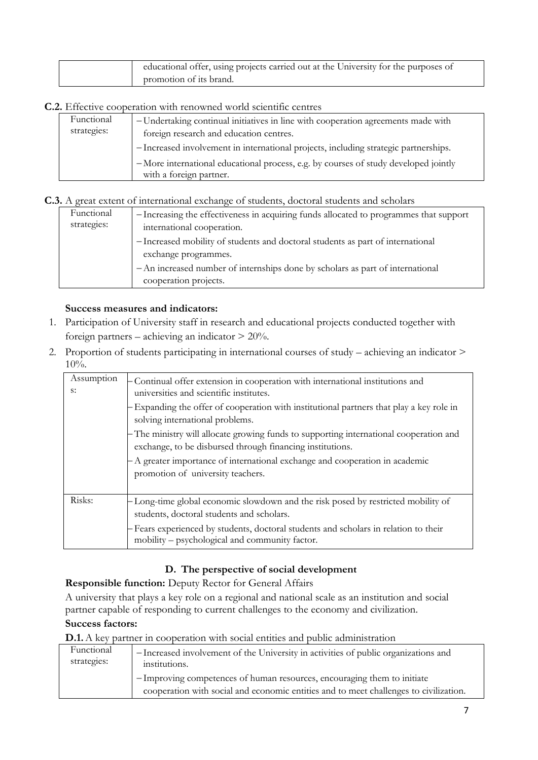| educational offer, using projects carried out at the University for the purposes of |
|-------------------------------------------------------------------------------------|
| promotion of its brand.                                                             |

#### **C.2.** Effective cooperation with renowned world scientific centres

| Functional<br>strategies: | -Undertaking continual initiatives in line with cooperation agreements made with<br>foreign research and education centres.<br>- Increased involvement in international projects, including strategic partnerships. |
|---------------------------|---------------------------------------------------------------------------------------------------------------------------------------------------------------------------------------------------------------------|
|                           | -More international educational process, e.g. by courses of study developed jointly<br>with a foreign partner.                                                                                                      |

## **C.3.** A great extent of international exchange of students, doctoral students and scholars

| Functional<br>strategies: | - Increasing the effectiveness in acquiring funds allocated to programmes that support<br>international cooperation.<br>- Increased mobility of students and doctoral students as part of international |
|---------------------------|---------------------------------------------------------------------------------------------------------------------------------------------------------------------------------------------------------|
|                           | exchange programmes.<br>- An increased number of internships done by scholars as part of international                                                                                                  |
|                           | cooperation projects.                                                                                                                                                                                   |

#### **Success measures and indicators:**

- 1. Participation of University staff in research and educational projects conducted together with foreign partners – achieving an indicator > 20%.
- 2. Proportion of students participating in international courses of study achieving an indicator >  $10\%$ .

| Assumption<br>s: | - Continual offer extension in cooperation with international institutions and<br>universities and scientific institutes.                           |  |  |  |
|------------------|-----------------------------------------------------------------------------------------------------------------------------------------------------|--|--|--|
|                  | - Expanding the offer of cooperation with institutional partners that play a key role in<br>solving international problems.                         |  |  |  |
|                  | - The ministry will allocate growing funds to supporting international cooperation and<br>exchange, to be disbursed through financing institutions. |  |  |  |
|                  | - A greater importance of international exchange and cooperation in academic<br>promotion of university teachers.                                   |  |  |  |
| Risks:           | -Long-time global economic slowdown and the risk posed by restricted mobility of<br>students, doctoral students and scholars.                       |  |  |  |
|                  | - Fears experienced by students, doctoral students and scholars in relation to their<br>mobility – psychological and community factor.              |  |  |  |

## **D. The perspective of social development**

## **Responsible function:** Deputy Rector for General Affairs

A university that plays a key role on a regional and national scale as an institution and social partner capable of responding to current challenges to the economy and civilization.

#### **Success factors:**

**D.1.** A key partner in cooperation with social entities and public administration

| Functional  | - Increased involvement of the University in activities of public organizations and                                                                              |
|-------------|------------------------------------------------------------------------------------------------------------------------------------------------------------------|
| strategies: | institutions.                                                                                                                                                    |
|             | -Improving competences of human resources, encouraging them to initiate<br>cooperation with social and economic entities and to meet challenges to civilization. |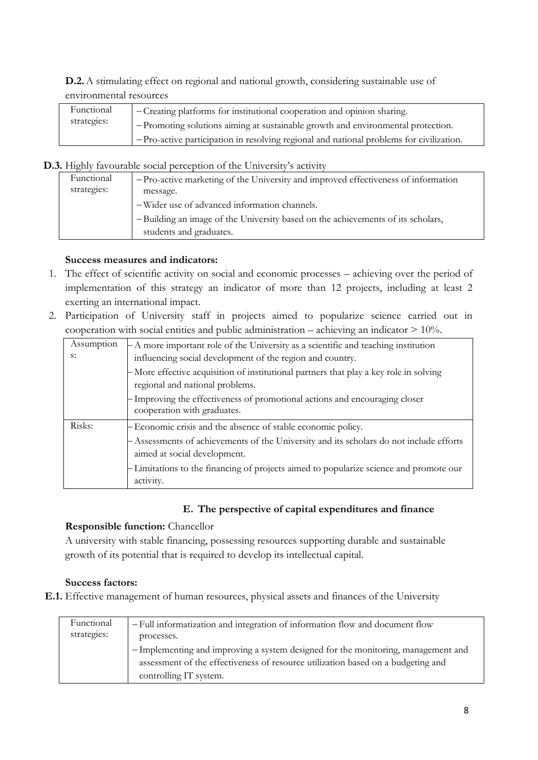**D.2.**A stimulating effect on regional and national growth, considering sustainable use of environmental resources

| Functional  | -Creating platforms for institutional cooperation and opinion sharing.                    |
|-------------|-------------------------------------------------------------------------------------------|
| strategies: | - Promoting solutions aiming at sustainable growth and environmental protection.          |
|             | $-Pro-active$ participation in resolving regional and national problems for civilization. |

**D.3.** Highly favourable social perception of the University's activity

| Functional  | - Pro-active marketing of the University and improved effectiveness of information |
|-------------|------------------------------------------------------------------------------------|
| strategies: | message.                                                                           |
|             | -Wider use of advanced information channels.                                       |
|             | -Building an image of the University based on the achievements of its scholars,    |
|             | students and graduates.                                                            |

## **Success measures and indicators:**

- 1. The effect of scientific activity on social and economic processes achieving over the period of implementation of this strategy an indicator of more than 12 projects, including at least 2 exerting an international impact.
- 2. Participation of University staff in projects aimed to popularize science carried out in cooperation with social entities and public administration – achieving an indicator  $> 10\%$ .

| Assumption | - A more important role of the University as a scientific and teaching institution                                        |  |
|------------|---------------------------------------------------------------------------------------------------------------------------|--|
| s:         | influencing social development of the region and country.                                                                 |  |
|            | - More effective acquisition of institutional partners that play a key role in solving<br>regional and national problems. |  |
|            | - Improving the effectiveness of promotional actions and encouraging closer<br>cooperation with graduates.                |  |
| Risks:     | - Economic crisis and the absence of stable economic policy.                                                              |  |
|            | - Assessments of achievements of the University and its scholars do not include efforts<br>aimed at social development.   |  |
|            | -Limitations to the financing of projects aimed to popularize science and promote our<br>activity.                        |  |

## **E. The perspective of capital expenditures and finance**

## **Responsible function:** Chancellor

A university with stable financing, possessing resources supporting durable and sustainable growth of its potential that is required to develop its intellectual capital.

## **Success factors:**

**E.1.** Effective management of human resources, physical assets and finances of the University

| Functional  | - Full informatization and integration of information flow and document flow      |
|-------------|-----------------------------------------------------------------------------------|
| strategies: | processes.                                                                        |
|             | - Implementing and improving a system designed for the monitoring, management and |
|             | assessment of the effectiveness of resource utilization based on a budgeting and  |
|             | controlling IT system.                                                            |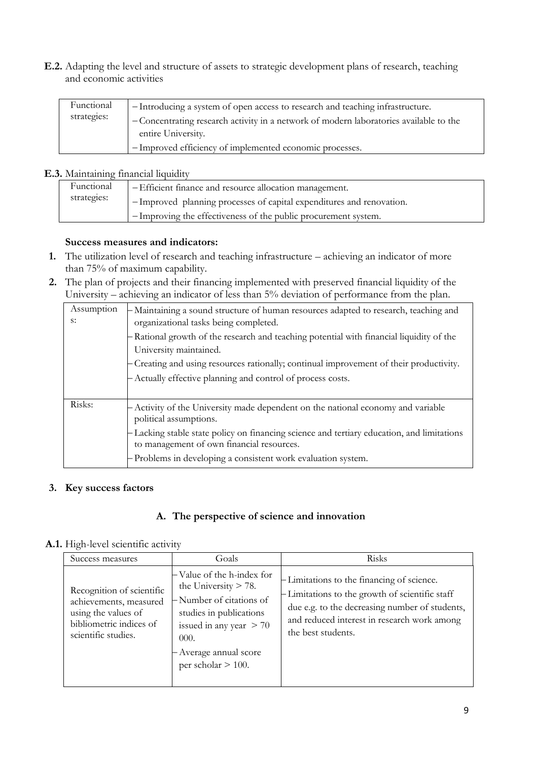**E.2.** Adapting the level and structure of assets to strategic development plans of research, teaching and economic activities

| Functional  | -Introducing a system of open access to research and teaching infrastructure.          |
|-------------|----------------------------------------------------------------------------------------|
| strategies: | - Concentrating research activity in a network of modern laboratories available to the |
|             | entire University.                                                                     |
|             | -Improved efficiency of implemented economic processes.                                |

#### **E.3.** Maintaining financial liquidity

| Functional  | - Efficient finance and resource allocation management.              |
|-------------|----------------------------------------------------------------------|
| strategies: | -Improved planning processes of capital expenditures and renovation. |
|             | -Improving the effectiveness of the public procurement system.       |

#### **Success measures and indicators:**

- **1.** The utilization level of research and teaching infrastructure achieving an indicator of more than 75% of maximum capability.
- **2.** The plan of projects and their financing implemented with preserved financial liquidity of the University – achieving an indicator of less than 5% deviation of performance from the plan.

| Assumption<br>s: | -Maintaining a sound structure of human resources adapted to research, teaching and<br>organizational tasks being completed.            |  |  |  |
|------------------|-----------------------------------------------------------------------------------------------------------------------------------------|--|--|--|
|                  | - Rational growth of the research and teaching potential with financial liquidity of the<br>University maintained.                      |  |  |  |
|                  | - Creating and using resources rationally; continual improvement of their productivity.                                                 |  |  |  |
|                  | - Actually effective planning and control of process costs.                                                                             |  |  |  |
|                  |                                                                                                                                         |  |  |  |
| Risks:           | - Activity of the University made dependent on the national economy and variable<br>political assumptions.                              |  |  |  |
|                  | - Lacking stable state policy on financing science and tertiary education, and limitations<br>to management of own financial resources. |  |  |  |
|                  | - Problems in developing a consistent work evaluation system.                                                                           |  |  |  |

#### **3. Key success factors**

#### **A. The perspective of science and innovation**

#### **A.1.** High-level scientific activity

| Success measures                                                                                                             | Goals                                                                                                                                                                                             | Risks                                                                                                                                                                                                               |
|------------------------------------------------------------------------------------------------------------------------------|---------------------------------------------------------------------------------------------------------------------------------------------------------------------------------------------------|---------------------------------------------------------------------------------------------------------------------------------------------------------------------------------------------------------------------|
| Recognition of scientific<br>achievements, measured<br>using the values of<br>bibliometric indices of<br>scientific studies. | Value of the h-index for<br>the University $> 78$ .<br>-Number of citations of<br>studies in publications<br>issued in any year $> 70$<br>000.<br>- Average annual score<br>per scholar $> 100$ . | - Limitations to the financing of science.<br>-Limitations to the growth of scientific staff<br>due e.g. to the decreasing number of students,<br>and reduced interest in research work among<br>the best students. |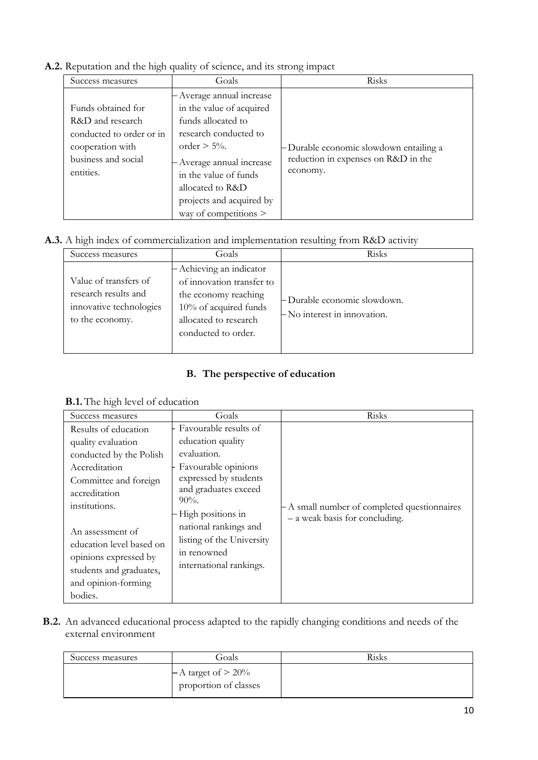## **A.2.** Reputation and the high quality of science, and its strong impact

| Success measures                                                                                                           | Goals                                                                                                                                                                                                                                                | Risks                                                                                      |
|----------------------------------------------------------------------------------------------------------------------------|------------------------------------------------------------------------------------------------------------------------------------------------------------------------------------------------------------------------------------------------------|--------------------------------------------------------------------------------------------|
| Funds obtained for<br>R&D and research<br>conducted to order or in<br>cooperation with<br>business and social<br>entities. | - Average annual increase<br>in the value of acquired<br>funds allocated to<br>research conducted to<br>order $> 5\%$ .<br>Average annual increase<br>in the value of funds<br>allocated to R&D<br>projects and acquired by<br>way of competitions > | - Durable economic slowdown entailing a<br>reduction in expenses on R&D in the<br>economy. |

## **A.3.** A high index of commercialization and implementation resulting from R&D activity

| Success measures                                                                            | Goals                                                                                                                                                     | Risks                                                          |
|---------------------------------------------------------------------------------------------|-----------------------------------------------------------------------------------------------------------------------------------------------------------|----------------------------------------------------------------|
| Value of transfers of<br>research results and<br>innovative technologies<br>to the economy. | - Achieving an indicator<br>of innovation transfer to<br>the economy reaching<br>$10\%$ of acquired funds<br>allocated to research<br>conducted to order. | - Durable economic slowdown.<br>$-$ No interest in innovation. |

## **B. The perspective of education**

#### **B.1.**The high level of education

| Success measures                                                                                                                                                                                                                                      | Goals                                                                                                                                                                                                                                                              | Risks                                                                          |
|-------------------------------------------------------------------------------------------------------------------------------------------------------------------------------------------------------------------------------------------------------|--------------------------------------------------------------------------------------------------------------------------------------------------------------------------------------------------------------------------------------------------------------------|--------------------------------------------------------------------------------|
| Results of education<br>quality evaluation<br>conducted by the Polish<br>Accreditation<br>Committee and foreign<br>accreditation<br>institutions.<br>An assessment of<br>education level based on<br>opinions expressed by<br>students and graduates, | Favourable results of<br>education quality<br>evaluation.<br>Favourable opinions<br>expressed by students<br>and graduates exceed<br>$90\%$ .<br>High positions in<br>national rankings and<br>listing of the University<br>in renowned<br>international rankings. | - A small number of completed questionnaires<br>- a weak basis for concluding. |
| and opinion-forming<br>bodies.                                                                                                                                                                                                                        |                                                                                                                                                                                                                                                                    |                                                                                |

**B.2.** An advanced educational process adapted to the rapidly changing conditions and needs of the external environment

| Success measures | Goals                                            | Risks |
|------------------|--------------------------------------------------|-------|
|                  | $-A$ target of $> 20\%$<br>proportion of classes |       |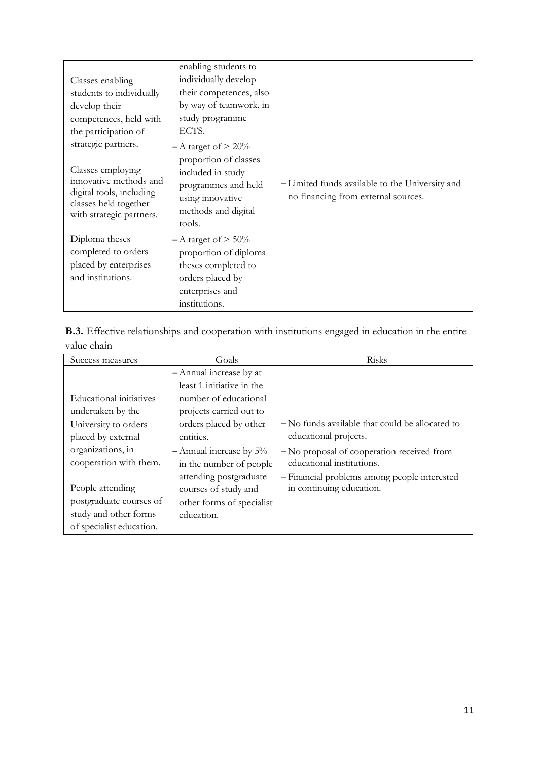|                                                                                                  | enabling students to                                                                                          |                                                                                       |
|--------------------------------------------------------------------------------------------------|---------------------------------------------------------------------------------------------------------------|---------------------------------------------------------------------------------------|
| Classes enabling                                                                                 | individually develop                                                                                          |                                                                                       |
| students to individually                                                                         | their competences, also                                                                                       |                                                                                       |
| develop their                                                                                    | by way of teamwork, in                                                                                        |                                                                                       |
| competences, held with                                                                           | study programme                                                                                               |                                                                                       |
| the participation of                                                                             | ECTS.                                                                                                         |                                                                                       |
| strategic partners.                                                                              | - A target of $> 20\%$                                                                                        |                                                                                       |
| Classes employing<br>innovative methods and<br>digital tools, including<br>classes held together | proportion of classes<br>included in study<br>programmes and held<br>using innovative                         | -Limited funds available to the University and<br>no financing from external sources. |
| with strategic partners.                                                                         | methods and digital<br>tools.                                                                                 |                                                                                       |
| Diploma theses<br>completed to orders<br>placed by enterprises<br>and institutions.              | - A target of $> 50\%$<br>proportion of diploma<br>theses completed to<br>orders placed by<br>enterprises and |                                                                                       |
|                                                                                                  | institutions.                                                                                                 |                                                                                       |

|             |  | <b>B.3.</b> Effective relationships and cooperation with institutions engaged in education in the entire |  |  |  |
|-------------|--|----------------------------------------------------------------------------------------------------------|--|--|--|
| value chain |  |                                                                                                          |  |  |  |

| Success measures                                                                                 | Goals                                                                                                               | Risks                                                                                                                                                                                              |
|--------------------------------------------------------------------------------------------------|---------------------------------------------------------------------------------------------------------------------|----------------------------------------------------------------------------------------------------------------------------------------------------------------------------------------------------|
| Educational initiatives<br>undertaken by the                                                     | - Annual increase by at<br>least 1 initiative in the<br>number of educational<br>projects carried out to            |                                                                                                                                                                                                    |
| University to orders<br>placed by external<br>organizations, in<br>cooperation with them.        | orders placed by other<br>entities.<br>- Annual increase by 5%<br>in the number of people<br>attending postgraduate | -No funds available that could be allocated to<br>educational projects.<br>- No proposal of cooperation received from<br>educational institutions.<br>- Financial problems among people interested |
| People attending<br>postgraduate courses of<br>study and other forms<br>of specialist education. | courses of study and<br>other forms of specialist<br>education.                                                     | in continuing education.                                                                                                                                                                           |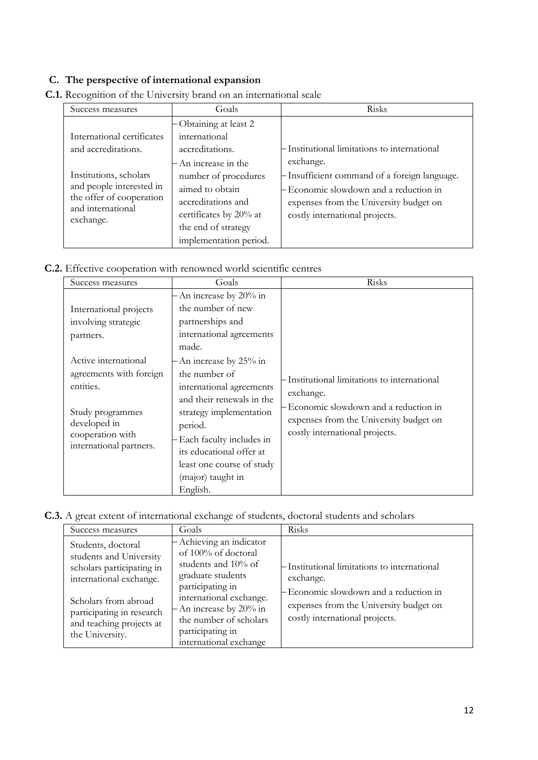## **C. The perspective of international expansion**

| Success measures                                                                                                 | Goals                                                                                                                                                            | Risks                                                                                                                                                               |
|------------------------------------------------------------------------------------------------------------------|------------------------------------------------------------------------------------------------------------------------------------------------------------------|---------------------------------------------------------------------------------------------------------------------------------------------------------------------|
| International certificates<br>and accreditations.                                                                | - Obtaining at least 2<br>international<br>accreditations.                                                                                                       | - Institutional limitations to international<br>exchange.                                                                                                           |
| Institutions, scholars<br>and people interested in<br>the offer of cooperation<br>and international<br>exchange. | - An increase in the<br>number of procedures<br>aimed to obtain<br>accreditations and<br>certificates by 20% at<br>the end of strategy<br>implementation period. | - Insufficient command of a foreign language.<br>- Economic slowdown and a reduction in<br>expenses from the University budget on<br>costly international projects. |

**C.1.** Recognition of the University brand on an international scale

**C.2.** Effective cooperation with renowned world scientific centres

| Success measures                                                                                                                                | Goals                                                                                                                                                                                                                                                           | Risks                                                                                                                                                                       |
|-------------------------------------------------------------------------------------------------------------------------------------------------|-----------------------------------------------------------------------------------------------------------------------------------------------------------------------------------------------------------------------------------------------------------------|-----------------------------------------------------------------------------------------------------------------------------------------------------------------------------|
| International projects<br>involving strategic<br>partners.                                                                                      | $-$ An increase by 20% in<br>the number of new<br>partnerships and<br>international agreements<br>made.                                                                                                                                                         |                                                                                                                                                                             |
| Active international<br>agreements with foreign<br>entities.<br>Study programmes<br>developed in<br>cooperation with<br>international partners. | - An increase by 25% in<br>the number of<br>international agreements<br>and their renewals in the<br>strategy implementation<br>period.<br>- Each faculty includes in<br>its educational offer at<br>least one course of study<br>(major) taught in<br>English. | Institutional limitations to international<br>exchange.<br>Economic slowdown and a reduction in<br>expenses from the University budget on<br>costly international projects. |

**C.3.** A great extent of international exchange of students, doctoral students and scholars

| Success measures                                                                                      | Goals                                                                                                                        | Risks                                                                                               |
|-------------------------------------------------------------------------------------------------------|------------------------------------------------------------------------------------------------------------------------------|-----------------------------------------------------------------------------------------------------|
| Students, doctoral<br>students and University<br>scholars participating in<br>international exchange. | $-$ Achieving an indicator<br>of 100% of doctoral<br>students and 10% of<br>graduate students<br>participating in            | - Institutional limitations to international<br>exchange.<br>- Economic slowdown and a reduction in |
| Scholars from abroad<br>participating in research<br>and teaching projects at<br>the University.      | international exchange.<br>$-$ An increase by 20% in<br>the number of scholars<br>participating in<br>international exchange | expenses from the University budget on<br>costly international projects.                            |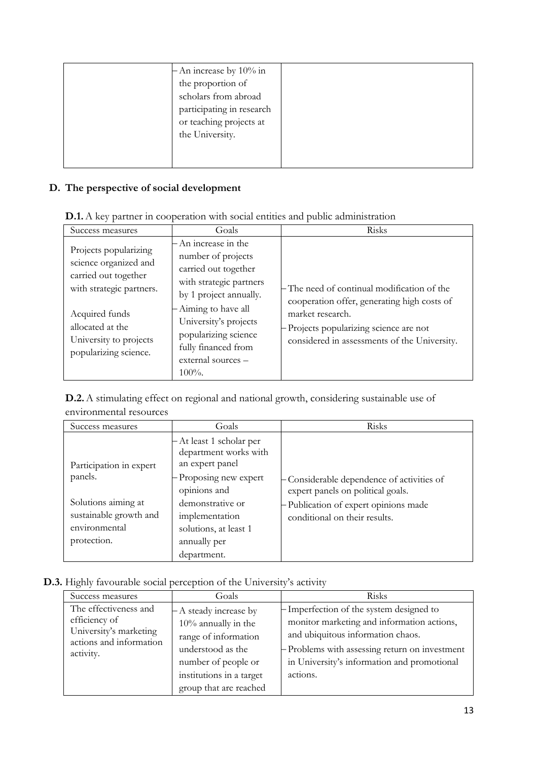| $-$ An increase by 10% in<br>the proportion of<br>scholars from abroad<br>participating in research<br>or teaching projects at<br>the University. |  |
|---------------------------------------------------------------------------------------------------------------------------------------------------|--|
|                                                                                                                                                   |  |

# **D. The perspective of social development**

|  |  |  | <b>D.1.</b> A key partner in cooperation with social entities and public administration |
|--|--|--|-----------------------------------------------------------------------------------------|
|  |  |  |                                                                                         |

| Success measures                                                                                                                                                                            | Goals                                                                                                                                                                                                                                                      | Risks                                                                                                                                                                                                     |
|---------------------------------------------------------------------------------------------------------------------------------------------------------------------------------------------|------------------------------------------------------------------------------------------------------------------------------------------------------------------------------------------------------------------------------------------------------------|-----------------------------------------------------------------------------------------------------------------------------------------------------------------------------------------------------------|
| Projects popularizing<br>science organized and<br>carried out together<br>with strategic partners.<br>Acquired funds<br>allocated at the<br>University to projects<br>popularizing science. | - An increase in the<br>number of projects<br>carried out together<br>with strategic partners<br>by 1 project annually.<br>- Aiming to have all<br>University's projects<br>popularizing science<br>fully financed from<br>external sources -<br>$100\%$ . | - The need of continual modification of the<br>cooperation offer, generating high costs of<br>market research.<br>- Projects popularizing science are not<br>considered in assessments of the University. |

**D.2.**A stimulating effect on regional and national growth, considering sustainable use of environmental resources

| Success measures        | Goals                                                                | Risks                                                                           |
|-------------------------|----------------------------------------------------------------------|---------------------------------------------------------------------------------|
| Participation in expert | - At least 1 scholar per<br>department works with<br>an expert panel |                                                                                 |
| panels.                 | - Proposing new expert<br>opinions and                               | - Considerable dependence of activities of<br>expert panels on political goals. |
| Solutions aiming at     | demonstrative or                                                     | - Publication of expert opinions made                                           |
| sustainable growth and  | implementation                                                       | conditional on their results.                                                   |
| environmental           | solutions, at least 1                                                |                                                                                 |
| protection.             | annually per                                                         |                                                                                 |
|                         | department.                                                          |                                                                                 |

# **D.3.** Highly favourable social perception of the University's activity

| Success measures                                                                                         | Goals                                                                                                                                                                      | Risks                                                                                                                                                                                                                                    |
|----------------------------------------------------------------------------------------------------------|----------------------------------------------------------------------------------------------------------------------------------------------------------------------------|------------------------------------------------------------------------------------------------------------------------------------------------------------------------------------------------------------------------------------------|
| The effectiveness and<br>efficiency of<br>University's marketing<br>actions and information<br>activity. | - A steady increase by<br>$10\%$ annually in the<br>range of information<br>understood as the<br>number of people or<br>institutions in a target<br>group that are reached | - Imperfection of the system designed to<br>monitor marketing and information actions,<br>and ubiquitous information chaos.<br>- Problems with assessing return on investment<br>in University's information and promotional<br>actions. |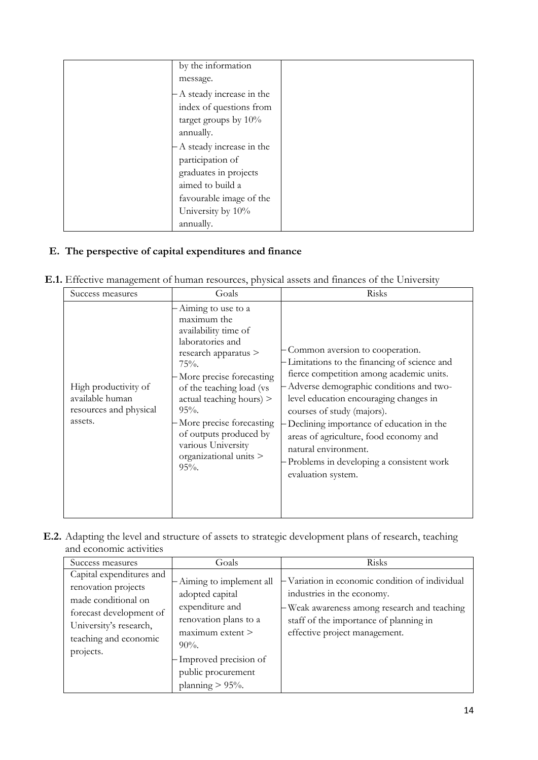| by the information         |  |
|----------------------------|--|
| message.                   |  |
| - A steady increase in the |  |
| index of questions from    |  |
| target groups by 10%       |  |
| annually.                  |  |
| - A steady increase in the |  |
| participation of           |  |
| graduates in projects      |  |
| aimed to build a           |  |
| favourable image of the    |  |
| University by 10%          |  |
| annually.                  |  |

## **E. The perspective of capital expenditures and finance**

| Success measures                                                             | Goals                                                                                                                                                                                                                                                                                                                                    | Risks                                                                                                                                                                                                                                                                                                                                                                                                                          |
|------------------------------------------------------------------------------|------------------------------------------------------------------------------------------------------------------------------------------------------------------------------------------------------------------------------------------------------------------------------------------------------------------------------------------|--------------------------------------------------------------------------------------------------------------------------------------------------------------------------------------------------------------------------------------------------------------------------------------------------------------------------------------------------------------------------------------------------------------------------------|
| High productivity of<br>available human<br>resources and physical<br>assets. | Aiming to use to a<br>maximum the<br>availability time of<br>laboratories and<br>research apparatus ><br>$75%$ .<br>- More precise forecasting<br>of the teaching load (vs<br>$actual$ teaching hours) $>$<br>$95%$ .<br>- More precise forecasting<br>of outputs produced by<br>various University<br>organizational units ><br>$95%$ . | Common aversion to cooperation.<br>-Limitations to the financing of science and<br>fierce competition among academic units.<br>Adverse demographic conditions and two-<br>level education encouraging changes in<br>courses of study (majors).<br>Declining importance of education in the<br>areas of agriculture, food economy and<br>natural environment.<br>Problems in developing a consistent work<br>evaluation system. |

**E.2.** Adapting the level and structure of assets to strategic development plans of research, teaching and economic activities

| Success measures                                                                                                                                                  | Goals                                                                                                                                                                                                | Risks                                                                                                                                                                                                  |
|-------------------------------------------------------------------------------------------------------------------------------------------------------------------|------------------------------------------------------------------------------------------------------------------------------------------------------------------------------------------------------|--------------------------------------------------------------------------------------------------------------------------------------------------------------------------------------------------------|
| Capital expenditures and<br>renovation projects<br>made conditional on<br>forecast development of<br>University's research,<br>teaching and economic<br>projects. | - Aiming to implement all<br>adopted capital<br>expenditure and<br>renovation plans to a<br>$maximum$ extent $>$<br>$90\%$ .<br>- Improved precision of<br>public procurement<br>planning $> 95\%$ . | -Variation in economic condition of individual<br>industries in the economy.<br>-Weak awareness among research and teaching<br>staff of the importance of planning in<br>effective project management. |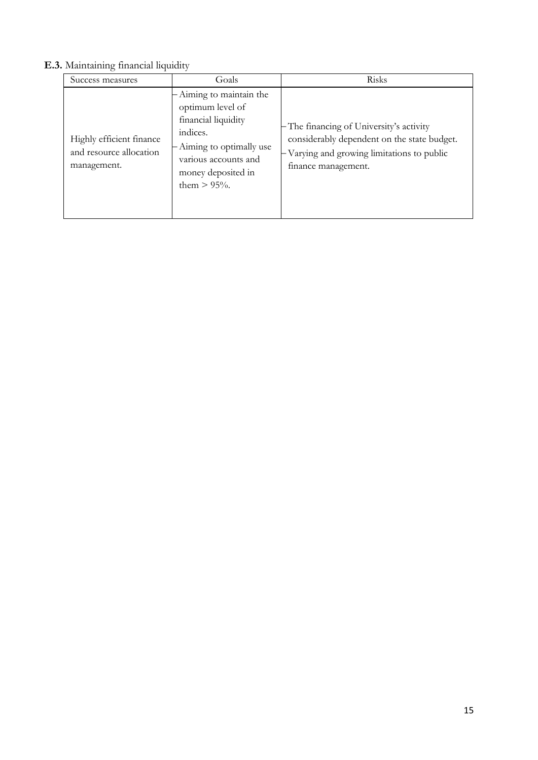# **E.3.** Maintaining financial liquidity

| Success measures                                                   | Goals                                                                                                                                                                      | Risks                                                                                                                                                        |
|--------------------------------------------------------------------|----------------------------------------------------------------------------------------------------------------------------------------------------------------------------|--------------------------------------------------------------------------------------------------------------------------------------------------------------|
| Highly efficient finance<br>and resource allocation<br>management. | Aiming to maintain the<br>optimum level of<br>financial liquidity<br>indices.<br>- Aiming to optimally use<br>various accounts and<br>money deposited in<br>them $> 95%$ . | - The financing of University's activity<br>considerably dependent on the state budget.<br>-Varying and growing limitations to public<br>finance management. |